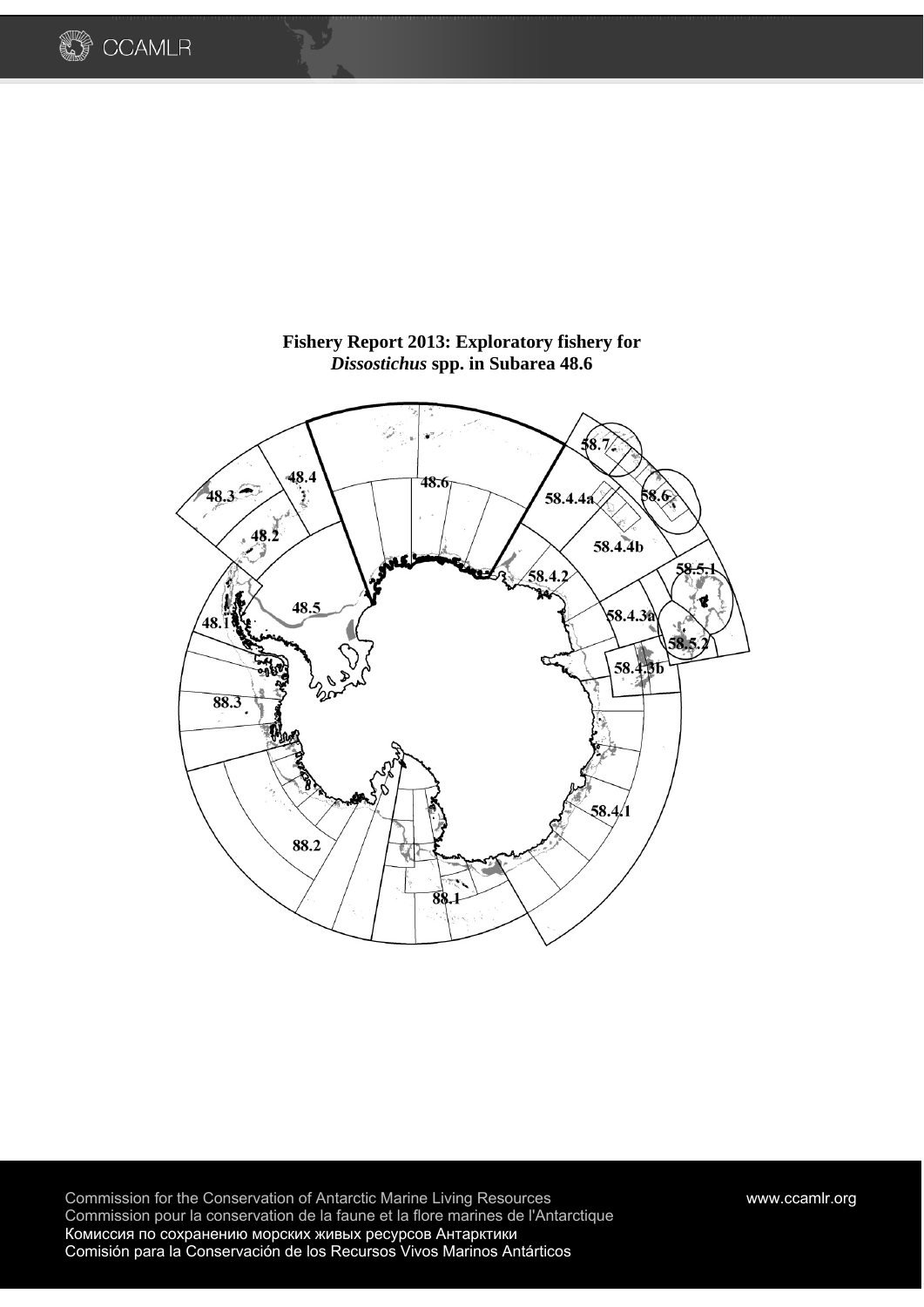



# **Fishery Report 2013: Exploratory fishery for**  *Dissostichus* **spp. in Subarea 48.6**

Commission for the Conservation of Antarctic Marine Living Resources www.ccamlr.org Commission pour la conservation de la faune et la flore marines de l'Antarctique Комиссия по сохранению морских живых ресурсов Антарктики Comisión para la Conservación de los Recursos Vivos Marinos Antárticos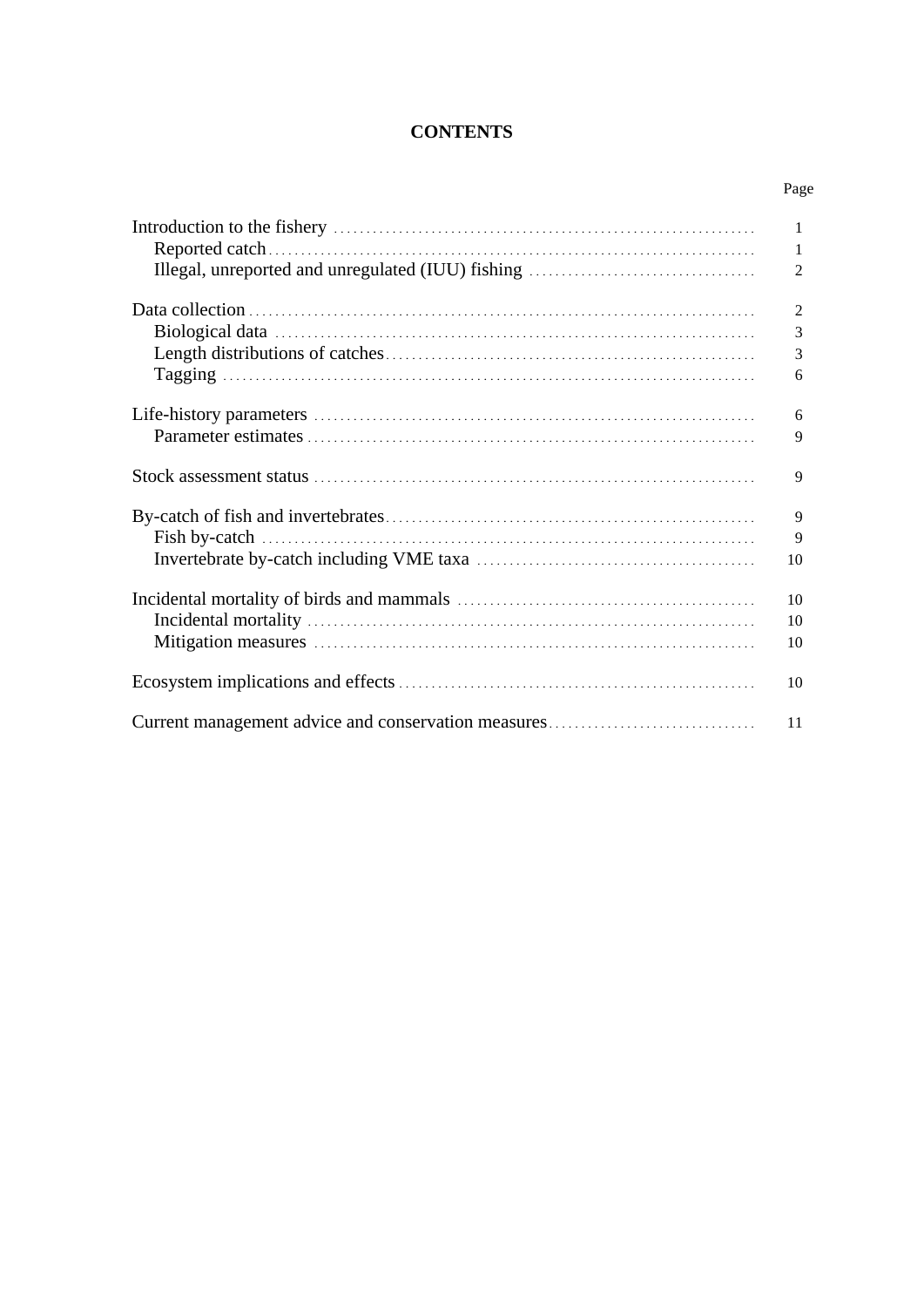# **CONTENTS**

| Page           |
|----------------|
| 1              |
| -1             |
| 2              |
| $\overline{2}$ |
| 3              |
| 3              |
| 6              |
| 6              |
| 9              |
| 9              |
| 9              |
| 9              |
| 10             |
| 10             |
| 10             |
| 10             |
| 10             |
| 11             |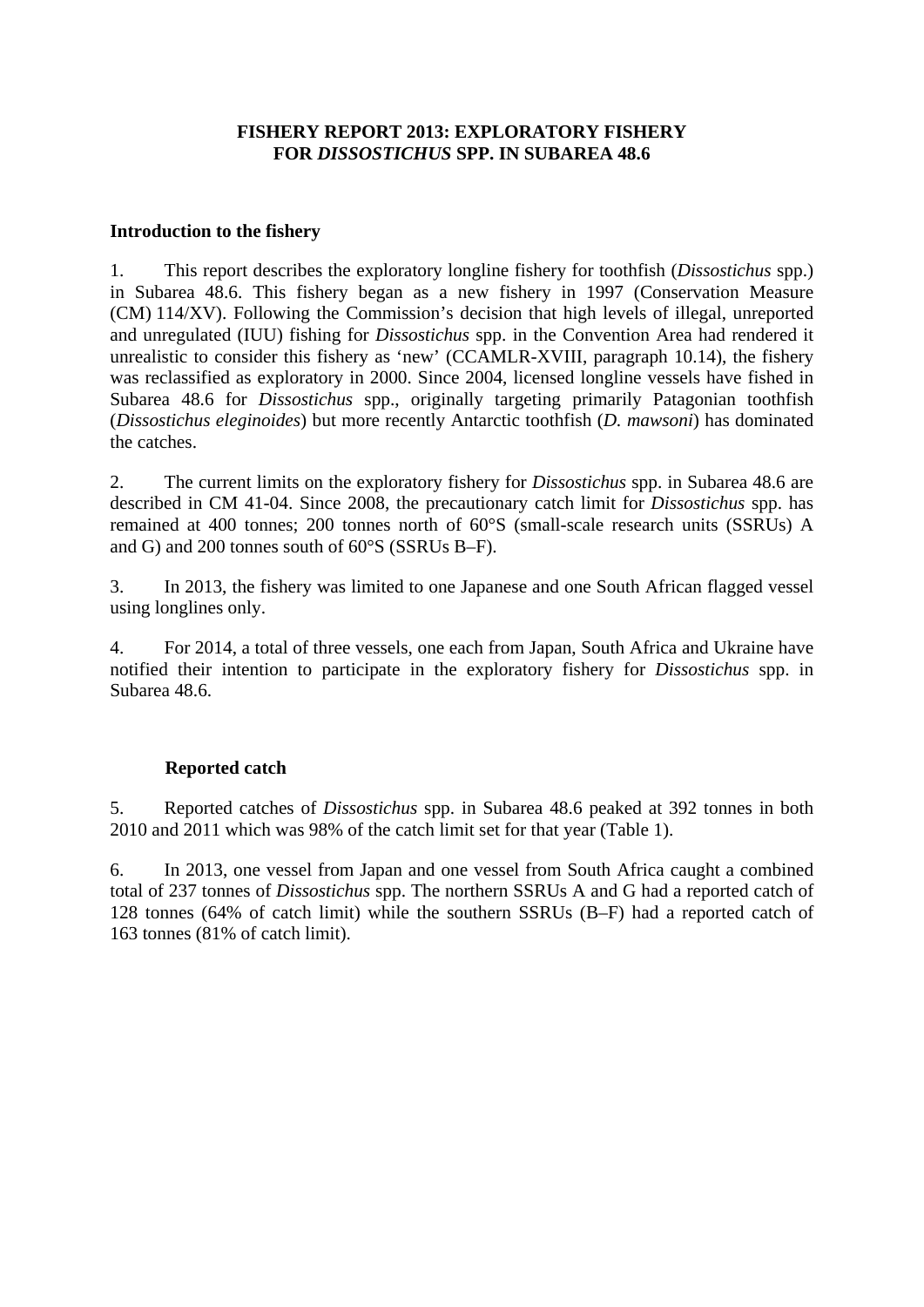# **FISHERY REPORT 2013: EXPLORATORY FISHERY FOR** *DISSOSTICHUS* **SPP. IN SUBAREA 48.6**

### **Introduction to the fishery**

1. This report describes the exploratory longline fishery for toothfish (*Dissostichus* spp.) in Subarea 48.6. This fishery began as a new fishery in 1997 (Conservation Measure (CM) 114/XV). Following the Commission's decision that high levels of illegal, unreported and unregulated (IUU) fishing for *Dissostichus* spp. in the Convention Area had rendered it unrealistic to consider this fishery as 'new' (CCAMLR-XVIII, paragraph 10.14), the fishery was reclassified as exploratory in 2000. Since 2004, licensed longline vessels have fished in Subarea 48.6 for *Dissostichus* spp., originally targeting primarily Patagonian toothfish (*Dissostichus eleginoides*) but more recently Antarctic toothfish (*D. mawsoni*) has dominated the catches.

2. The current limits on the exploratory fishery for *Dissostichus* spp. in Subarea 48.6 are described in CM 41-04. Since 2008, the precautionary catch limit for *Dissostichus* spp. has remained at 400 tonnes; 200 tonnes north of 60°S (small-scale research units (SSRUs) A and G) and 200 tonnes south of 60°S (SSRUs B–F).

3. In 2013, the fishery was limited to one Japanese and one South African flagged vessel using longlines only.

4. For 2014, a total of three vessels, one each from Japan, South Africa and Ukraine have notified their intention to participate in the exploratory fishery for *Dissostichus* spp. in Subarea 48.6.

# **Reported catch**

5. Reported catches of *Dissostichus* spp. in Subarea 48.6 peaked at 392 tonnes in both 2010 and 2011 which was 98% of the catch limit set for that year (Table 1).

6. In 2013, one vessel from Japan and one vessel from South Africa caught a combined total of 237 tonnes of *Dissostichus* spp. The northern SSRUs A and G had a reported catch of 128 tonnes (64% of catch limit) while the southern SSRUs (B–F) had a reported catch of 163 tonnes (81% of catch limit).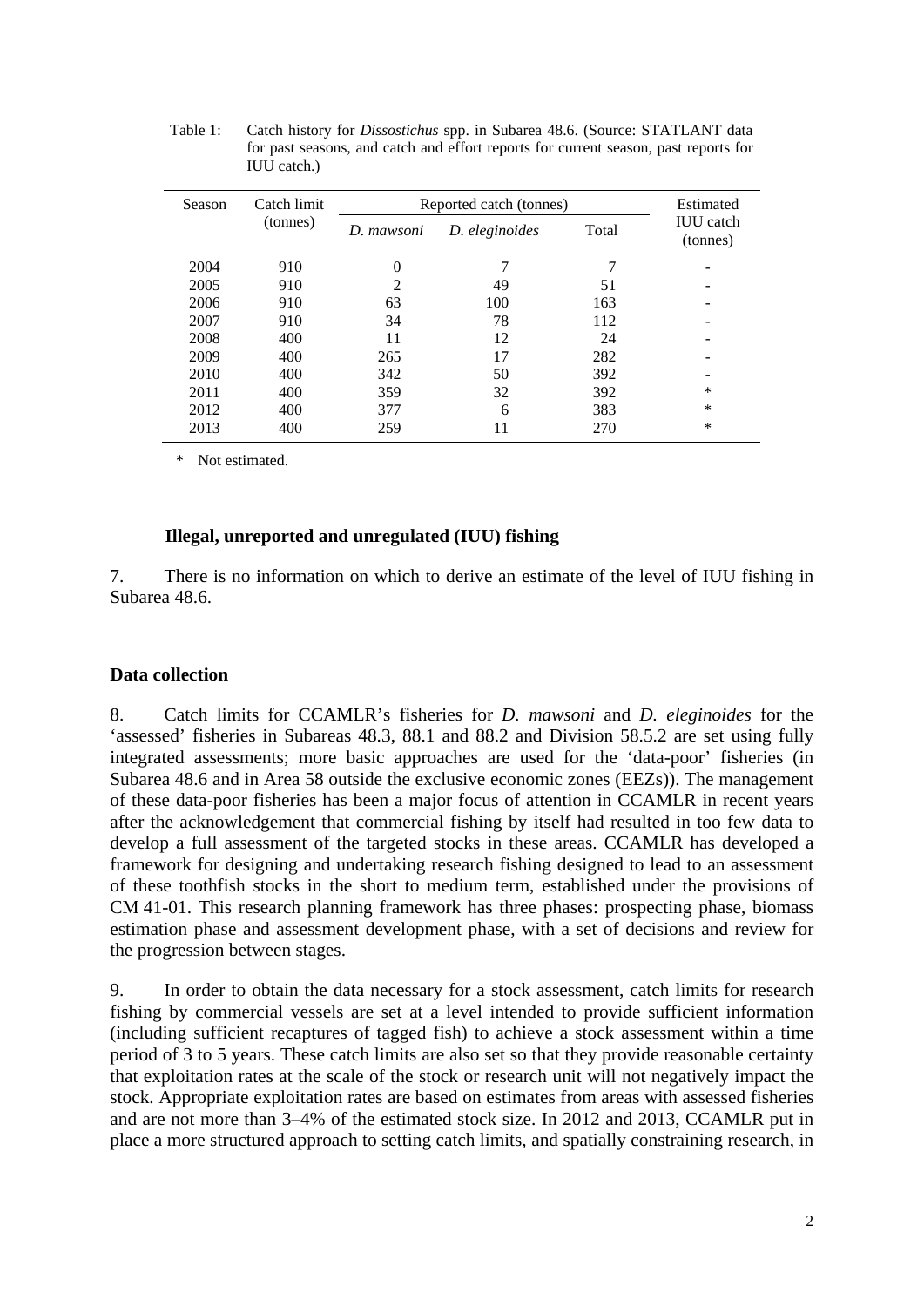| <b>Season</b> | Catch limit | Reported catch (tonnes) | Estimated      |       |                              |
|---------------|-------------|-------------------------|----------------|-------|------------------------------|
|               | (tonnes)    | D. mawsoni              | D. eleginoides | Total | <b>IUU</b> catch<br>(tonnes) |
| 2004          | 910         | 0                       |                |       |                              |
| 2005          | 910         | 2                       | 49             | 51    |                              |
| 2006          | 910         | 63                      | 100            | 163   |                              |
| 2007          | 910         | 34                      | 78             | 112   |                              |
| 2008          | 400         | 11                      | 12             | 24    |                              |
| 2009          | 400         | 265                     | 17             | 282   |                              |
| 2010          | 400         | 342                     | 50             | 392   |                              |
| 2011          | 400         | 359                     | 32             | 392   | *                            |
| 2012          | 400         | 377                     | 6              | 383   | *                            |
| 2013          | 400         | 259                     | 11             | 270   | *                            |
|               |             |                         |                |       |                              |

Table 1: Catch history for *Dissostichus* spp. in Subarea 48.6. (Source: STATLANT data for past seasons, and catch and effort reports for current season, past reports for IUU catch.)

\* Not estimated.

#### **Illegal, unreported and unregulated (IUU) fishing**

7. There is no information on which to derive an estimate of the level of IUU fishing in Subarea 48.6.

# **Data collection**

8. Catch limits for CCAMLR's fisheries for *D. mawsoni* and *D. eleginoides* for the 'assessed' fisheries in Subareas 48.3, 88.1 and 88.2 and Division 58.5.2 are set using fully integrated assessments; more basic approaches are used for the 'data-poor' fisheries (in Subarea 48.6 and in Area 58 outside the exclusive economic zones (EEZs)). The management of these data-poor fisheries has been a major focus of attention in CCAMLR in recent years after the acknowledgement that commercial fishing by itself had resulted in too few data to develop a full assessment of the targeted stocks in these areas. CCAMLR has developed a framework for designing and undertaking research fishing designed to lead to an assessment of these toothfish stocks in the short to medium term, established under the provisions of CM 41-01. This research planning framework has three phases: prospecting phase, biomass estimation phase and assessment development phase, with a set of decisions and review for the progression between stages.

9. In order to obtain the data necessary for a stock assessment, catch limits for research fishing by commercial vessels are set at a level intended to provide sufficient information (including sufficient recaptures of tagged fish) to achieve a stock assessment within a time period of 3 to 5 years. These catch limits are also set so that they provide reasonable certainty that exploitation rates at the scale of the stock or research unit will not negatively impact the stock. Appropriate exploitation rates are based on estimates from areas with assessed fisheries and are not more than 3–4% of the estimated stock size. In 2012 and 2013, CCAMLR put in place a more structured approach to setting catch limits, and spatially constraining research, in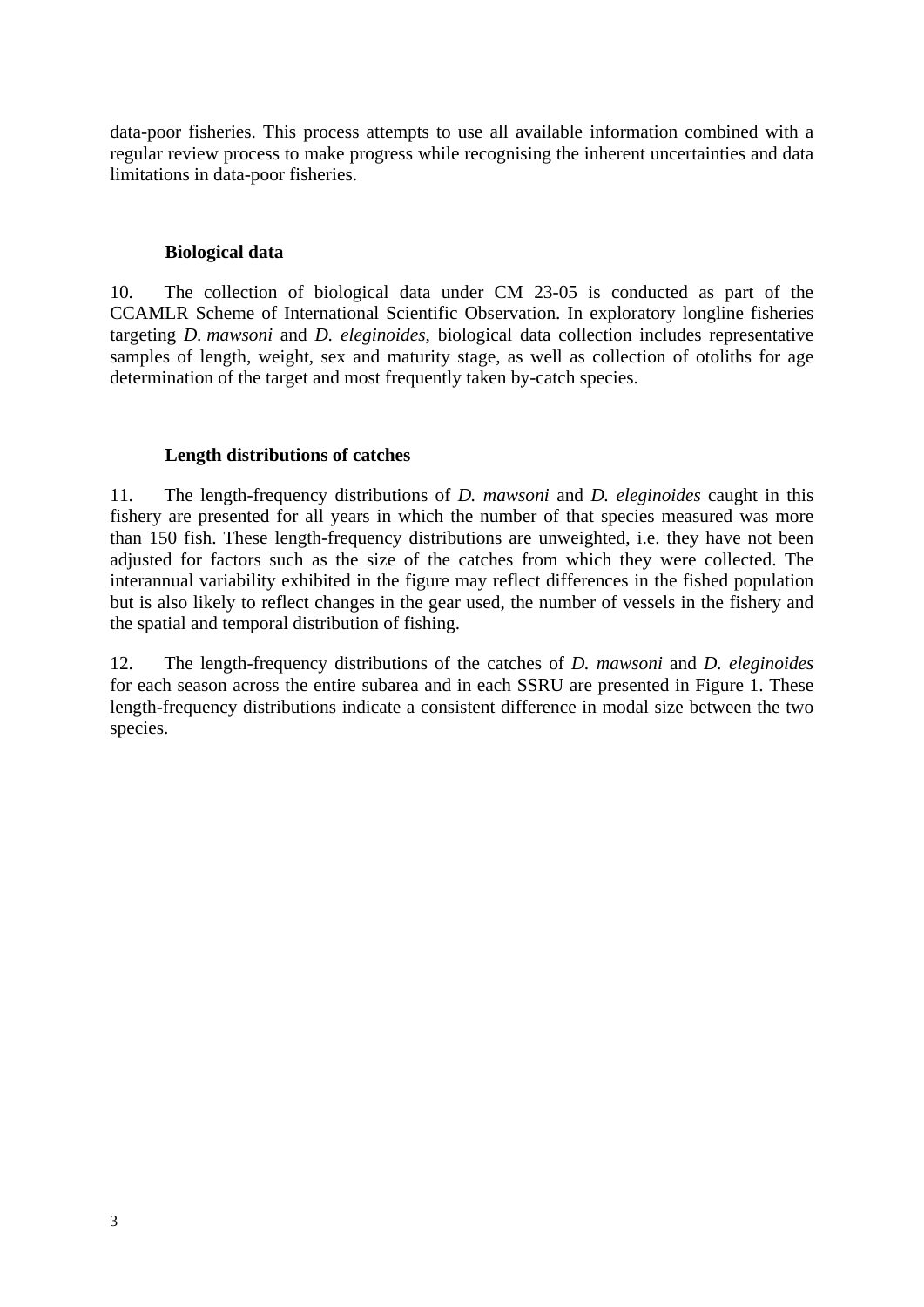data-poor fisheries. This process attempts to use all available information combined with a regular review process to make progress while recognising the inherent uncertainties and data limitations in data-poor fisheries.

### **Biological data**

10. The collection of biological data under CM 23-05 is conducted as part of the CCAMLR Scheme of International Scientific Observation. In exploratory longline fisheries targeting *D. mawsoni* and *D. eleginoides*, biological data collection includes representative samples of length, weight, sex and maturity stage, as well as collection of otoliths for age determination of the target and most frequently taken by-catch species.

# **Length distributions of catches**

11. The length-frequency distributions of *D. mawsoni* and *D. eleginoides* caught in this fishery are presented for all years in which the number of that species measured was more than 150 fish. These length-frequency distributions are unweighted, i.e. they have not been adjusted for factors such as the size of the catches from which they were collected. The interannual variability exhibited in the figure may reflect differences in the fished population but is also likely to reflect changes in the gear used, the number of vessels in the fishery and the spatial and temporal distribution of fishing.

12. The length-frequency distributions of the catches of *D. mawsoni* and *D. eleginoides* for each season across the entire subarea and in each SSRU are presented in Figure 1. These length-frequency distributions indicate a consistent difference in modal size between the two species.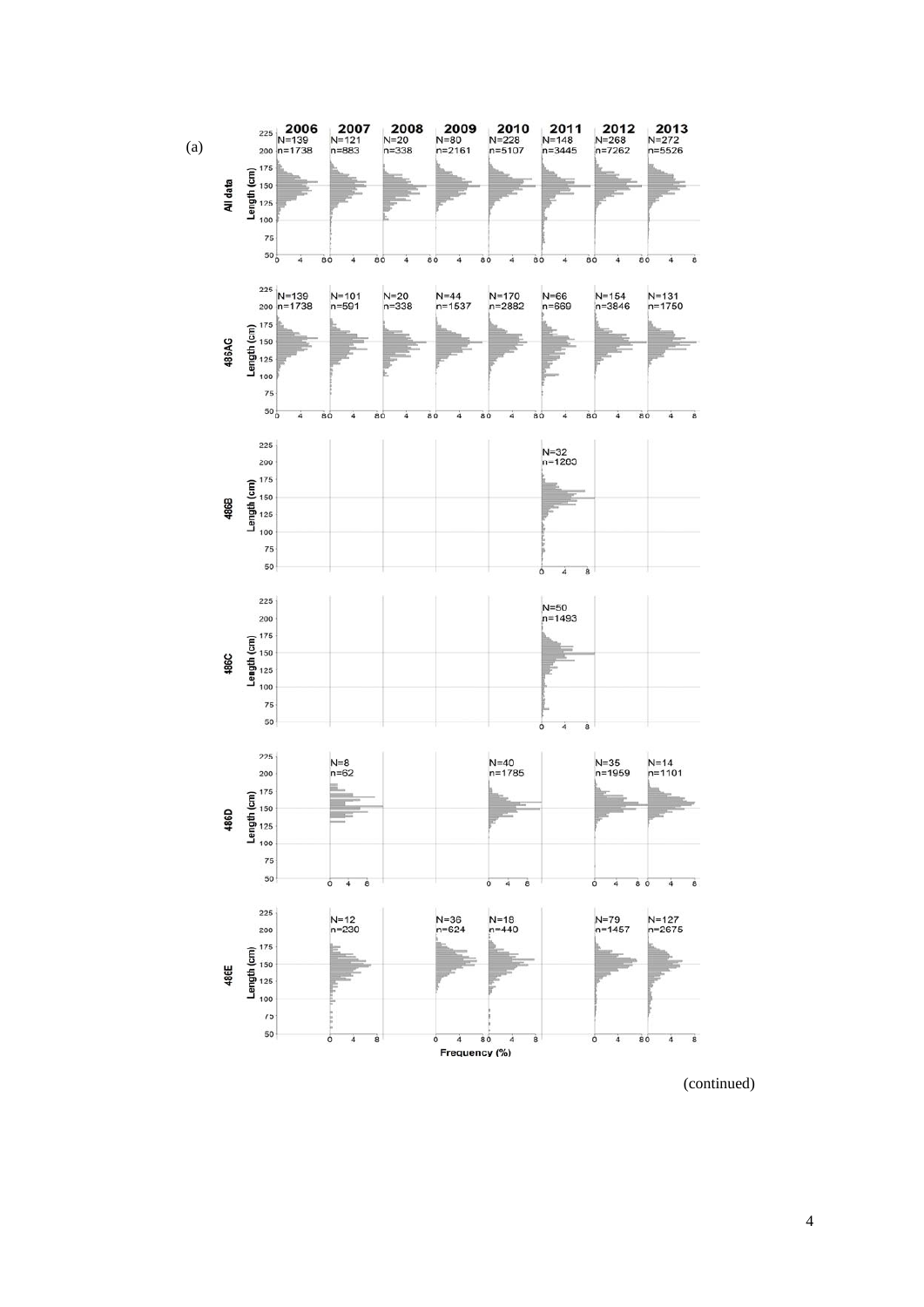

(continued)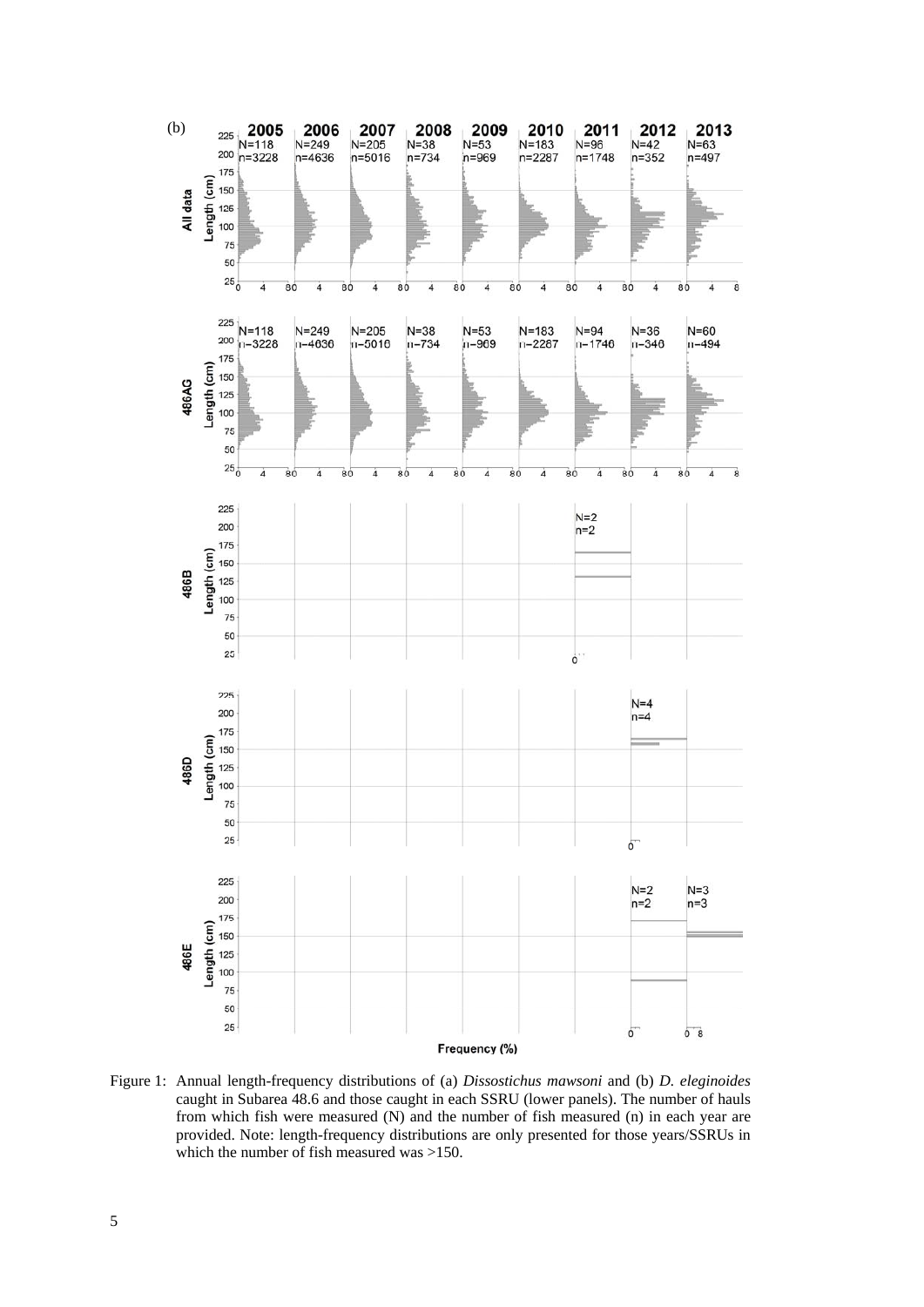

Figure 1: Annual length-frequency distributions of (a) *Dissostichus mawsoni* and (b) *D. eleginoides* caught in Subarea 48.6 and those caught in each SSRU (lower panels). The number of hauls from which fish were measured (N) and the number of fish measured (n) in each year are provided. Note: length-frequency distributions are only presented for those years/SSRUs in which the number of fish measured was >150.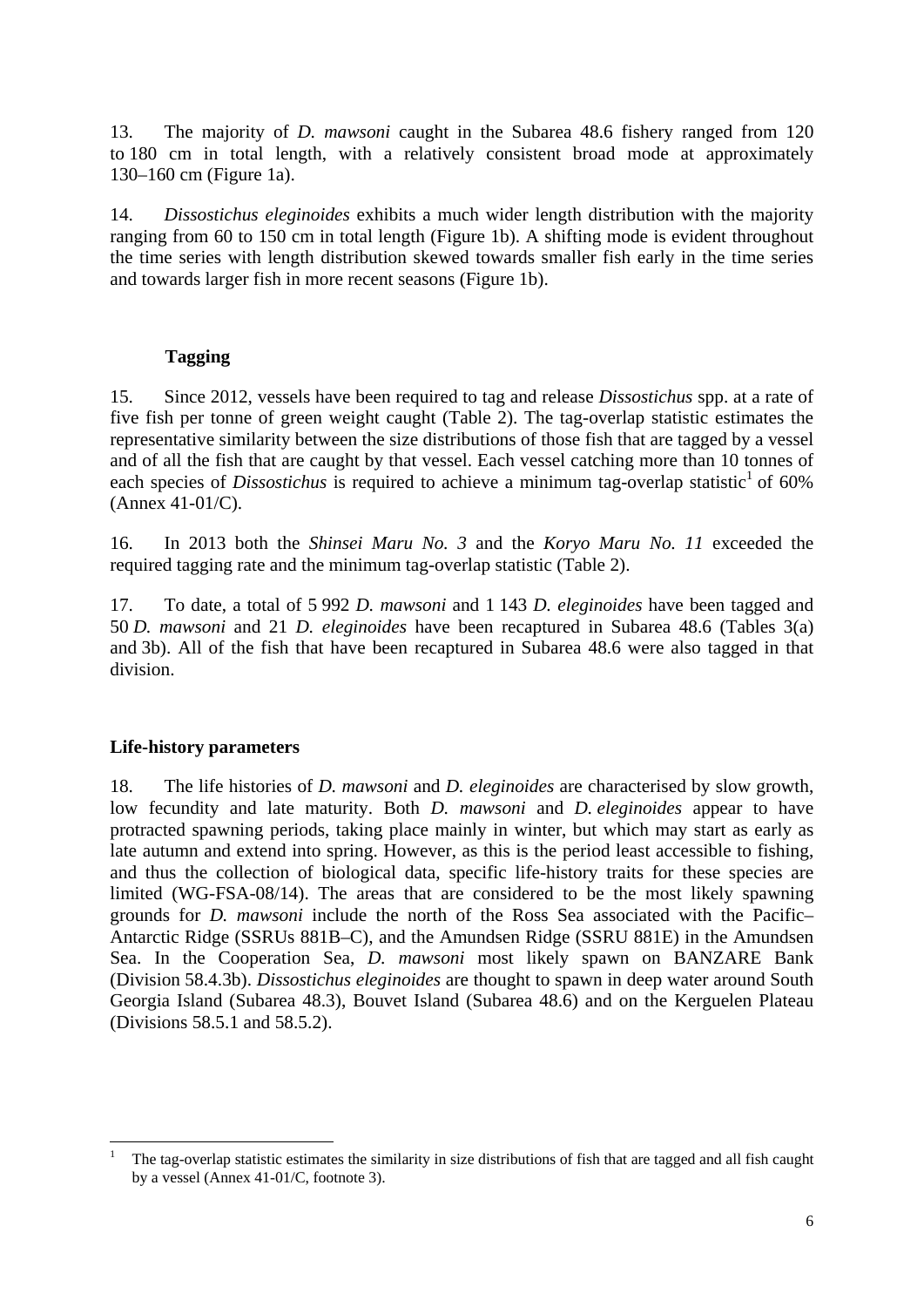13. The majority of *D. mawsoni* caught in the Subarea 48.6 fishery ranged from 120 to 180 cm in total length, with a relatively consistent broad mode at approximately 130–160 cm (Figure 1a).

14. *Dissostichus eleginoides* exhibits a much wider length distribution with the majority ranging from 60 to 150 cm in total length (Figure 1b). A shifting mode is evident throughout the time series with length distribution skewed towards smaller fish early in the time series and towards larger fish in more recent seasons (Figure 1b).

# **Tagging**

15. Since 2012, vessels have been required to tag and release *Dissostichus* spp. at a rate of five fish per tonne of green weight caught (Table 2). The tag-overlap statistic estimates the representative similarity between the size distributions of those fish that are tagged by a vessel and of all the fish that are caught by that vessel. Each vessel catching more than 10 tonnes of each species of *Dissostichus* is required to achieve a minimum tag-overlap statistic<sup>1</sup> of 60% (Annex 41-01/C).

16. In 2013 both the *Shinsei Maru No. 3* and the *Koryo Maru No. 11* exceeded the required tagging rate and the minimum tag-overlap statistic (Table 2).

17. To date, a total of 5 992 *D. mawsoni* and 1 143 *D. eleginoides* have been tagged and 50 *D. mawsoni* and 21 *D. eleginoides* have been recaptured in Subarea 48.6 (Tables 3(a) and 3b). All of the fish that have been recaptured in Subarea 48.6 were also tagged in that division.

# **Life-history parameters**

1

18. The life histories of *D. mawsoni* and *D. eleginoides* are characterised by slow growth, low fecundity and late maturity. Both *D. mawsoni* and *D. eleginoides* appear to have protracted spawning periods, taking place mainly in winter, but which may start as early as late autumn and extend into spring. However, as this is the period least accessible to fishing, and thus the collection of biological data, specific life-history traits for these species are limited (WG-FSA-08/14). The areas that are considered to be the most likely spawning grounds for *D. mawsoni* include the north of the Ross Sea associated with the Pacific– Antarctic Ridge (SSRUs 881B–C), and the Amundsen Ridge (SSRU 881E) in the Amundsen Sea. In the Cooperation Sea, *D. mawsoni* most likely spawn on BANZARE Bank (Division 58.4.3b). *Dissostichus eleginoides* are thought to spawn in deep water around South Georgia Island (Subarea 48.3), Bouvet Island (Subarea 48.6) and on the Kerguelen Plateau (Divisions 58.5.1 and 58.5.2).

<sup>1</sup> The tag-overlap statistic estimates the similarity in size distributions of fish that are tagged and all fish caught by a vessel (Annex 41-01/C, footnote 3).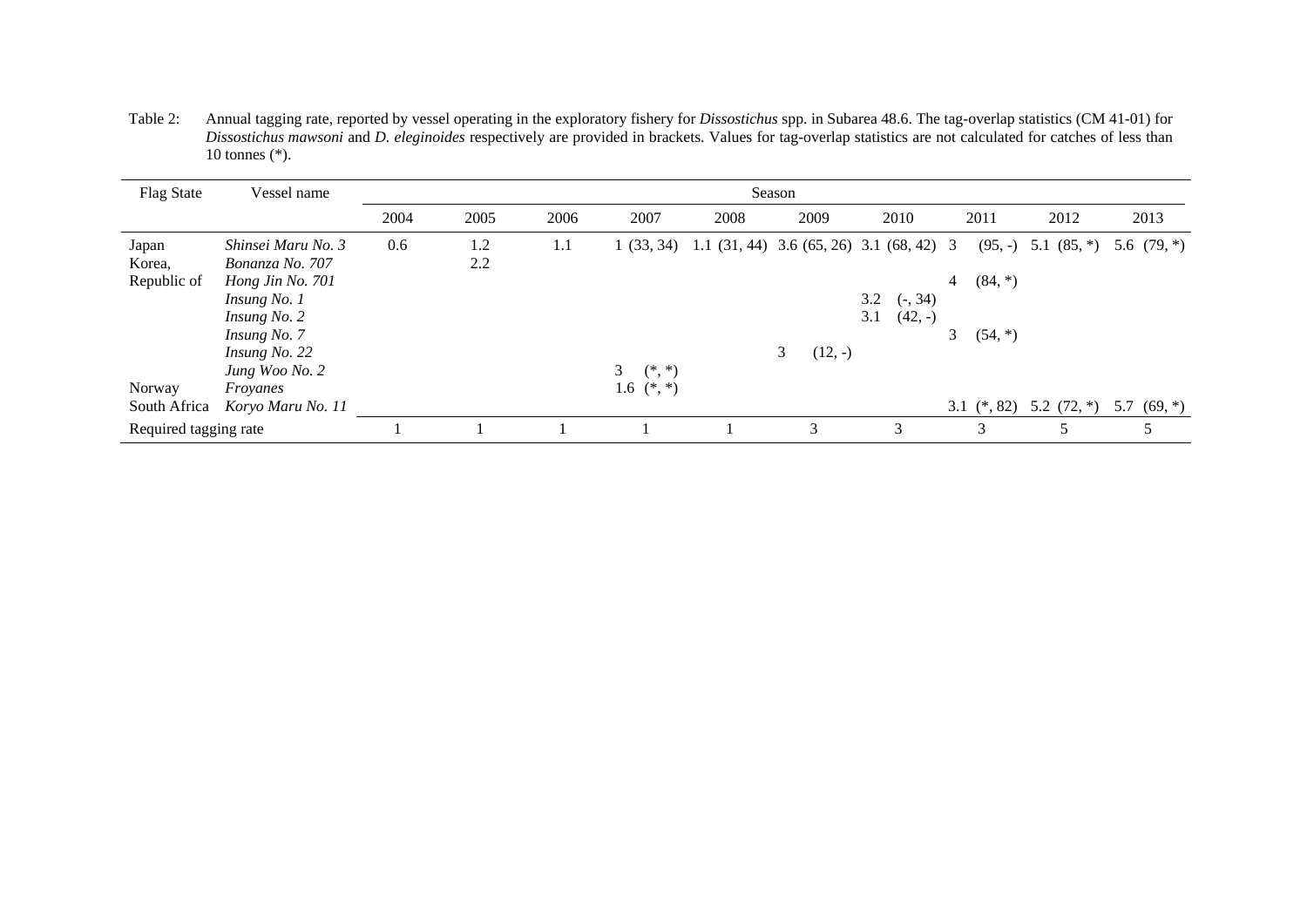Table 2: Annual tagging rate, reported by vessel operating in the exploratory fishery for *Dissostichus* spp. in Subarea 48.6. The tag-overlap statistics (CM 41-01) for *Dissostichus mawsoni* and *D. eleginoides* respectively are provided in brackets. Values for tag-overlap statistics are not calculated for catches of less than 10 tonnes (\*).

| <b>Flag State</b>     | Vessel name        | Season |      |      |                            |                                                            |                |                  |                             |               |               |
|-----------------------|--------------------|--------|------|------|----------------------------|------------------------------------------------------------|----------------|------------------|-----------------------------|---------------|---------------|
|                       |                    | 2004   | 2005 | 2006 | 2007                       | 2008                                                       | 2009           | 2010             | 2011                        | 2012          | 2013          |
| Japan                 | Shinsei Maru No. 3 | 0.6    | 1.2  | 1.1  |                            | $1(33, 34)$ 1.1 $(31, 44)$ 3.6 $(65, 26)$ 3.1 $(68, 42)$ 3 |                |                  | $(95, -)$                   | 5.1 $(85,*)$  | 5.6 $(79, *)$ |
| Korea,                | Bonanza No. 707    |        | 2.2  |      |                            |                                                            |                |                  |                             |               |               |
| Republic of           | Hong Jin No. 701   |        |      |      |                            |                                                            |                |                  | $(84, *)$<br>$\overline{4}$ |               |               |
|                       | Insung No. 1       |        |      |      |                            |                                                            |                | 3.2<br>$(-, 34)$ |                             |               |               |
|                       | Insung No. 2       |        |      |      |                            |                                                            |                | $(42, -)$<br>3.1 |                             |               |               |
|                       | Insung No. 7       |        |      |      |                            |                                                            |                |                  | $(54, *)$                   |               |               |
|                       | Insung No. 22      |        |      |      |                            |                                                            | 3<br>$(12, -)$ |                  |                             |               |               |
|                       | Jung Woo No. 2     |        |      |      | 3 <sup>7</sup><br>$(*, *)$ |                                                            |                |                  |                             |               |               |
| Norway                | Froyanes           |        |      |      | 1.6 $(*, *)$               |                                                            |                |                  |                             |               |               |
| South Africa          | Koryo Maru No. 11  |        |      |      |                            |                                                            |                |                  | 3.1 $(*, 82)$               | 5.2 $(72, *)$ | 5.7 $(69, *)$ |
| Required tagging rate |                    |        |      |      |                            |                                                            | 3              | 3                | 3                           |               | 5             |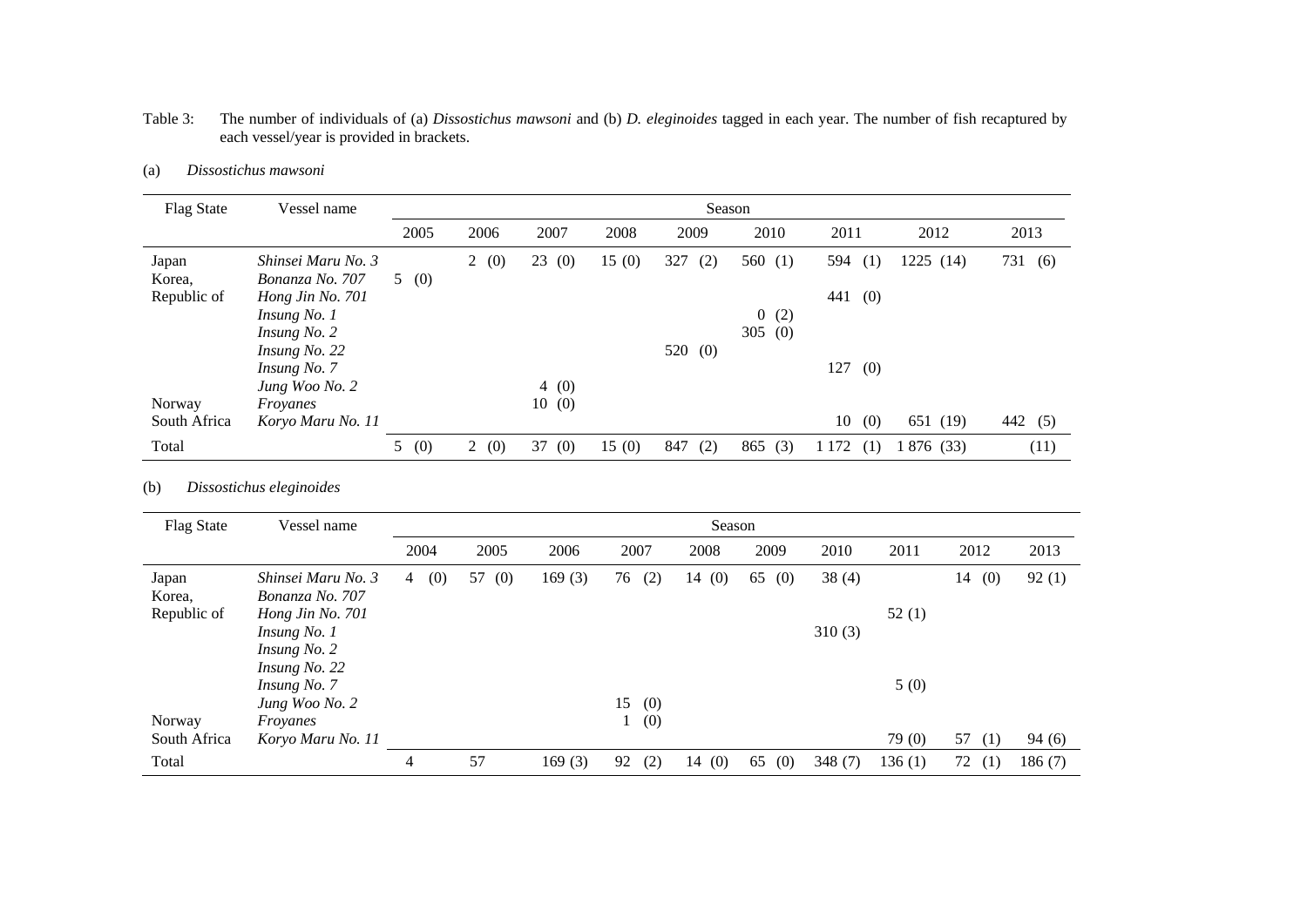| <b>Flag State</b>     | Vessel name                         | Season |      |           |       |            |            |                |            |         |
|-----------------------|-------------------------------------|--------|------|-----------|-------|------------|------------|----------------|------------|---------|
|                       |                                     | 2005   | 2006 | 2007      | 2008  | 2009       | 2010       | 2011           | 2012       | 2013    |
| Japan                 | Shinsei Maru No. 3                  |        | 2(0) | 23<br>(0) | 15(0) | 327<br>(2) | 560 $(1)$  | 594<br>(1)     | 1225 (14)  | 731 (6) |
| Korea,<br>Republic of | Bonanza No. 707<br>Hong Jin No. 701 | 5(0)   |      |           |       |            |            | 441<br>(0)     |            |         |
|                       | <i>Insung No. 1</i>                 |        |      |           |       |            | 0(2)       |                |            |         |
|                       | Insung No. 2<br>Insung No. 22       |        |      |           |       | 520 $(0)$  | 305<br>(0) |                |            |         |
|                       | Insung No. 7                        |        |      |           |       |            |            | 127<br>(0)     |            |         |
|                       | Jung Woo No. 2                      |        |      | 4(0)      |       |            |            |                |            |         |
| Norway                | Froyanes                            |        |      | 10(0)     |       |            |            |                |            |         |
| South Africa          | Koryo Maru No. 11                   |        |      |           |       |            |            | 10<br>(0)      | 651 (19)   | 442 (5) |
| Total                 |                                     | 5(0)   | 2(0) | (0)<br>37 | 15(0) | 847<br>(2) | 865<br>(3) | 1 1 7 2<br>(1) | 1 876 (33) | (11)    |

#### Table 3: The number of individuals of (a) *Dissostichus mawsoni* and (b) *D. eleginoides* tagged in each year. The number of fish recaptured by each vessel/year is provided in brackets.

#### (a) *Dissostichus mawsoni*

#### (b) *Dissostichus eleginoides*

| <b>Flag State</b>              | Vessel name                                               | Season   |           |        |            |           |           |        |        |           |        |
|--------------------------------|-----------------------------------------------------------|----------|-----------|--------|------------|-----------|-----------|--------|--------|-----------|--------|
|                                |                                                           | 2004     | 2005      | 2006   | 2007       | 2008      | 2009      | 2010   | 2011   | 2012      | 2013   |
| Japan<br>Korea,<br>Republic of | Shinsei Maru No. 3<br>Bonanza No. 707<br>Hong Jin No. 701 | (0)<br>4 | 57<br>(0) | 169(3) | (2)<br>76  | (0)<br>14 | 65<br>(0) | 38(4)  | 52(1)  | 14<br>(0) | 92(1)  |
|                                | Insung No. 1<br>Insung No. 2<br>Insung No. 22             |          |           |        |            |           |           | 310(3) |        |           |        |
|                                | Insung No. 7<br>Jung Woo No. 2                            |          |           |        | 15         |           |           |        | 5(0)   |           |        |
| Norway                         | Froyanes                                                  |          |           |        | (0)<br>(0) |           |           |        |        |           |        |
| South Africa                   | Koryo Maru No. 11                                         |          |           |        |            |           |           |        | 79 (0) | 57<br>(1) | 94(6)  |
| Total                          |                                                           | 4        | 57        | 169(3) | 92<br>(2)  | 14(0)     | 65<br>(0) | 348(7) | 136(1) | 72<br>(1) | 186(7) |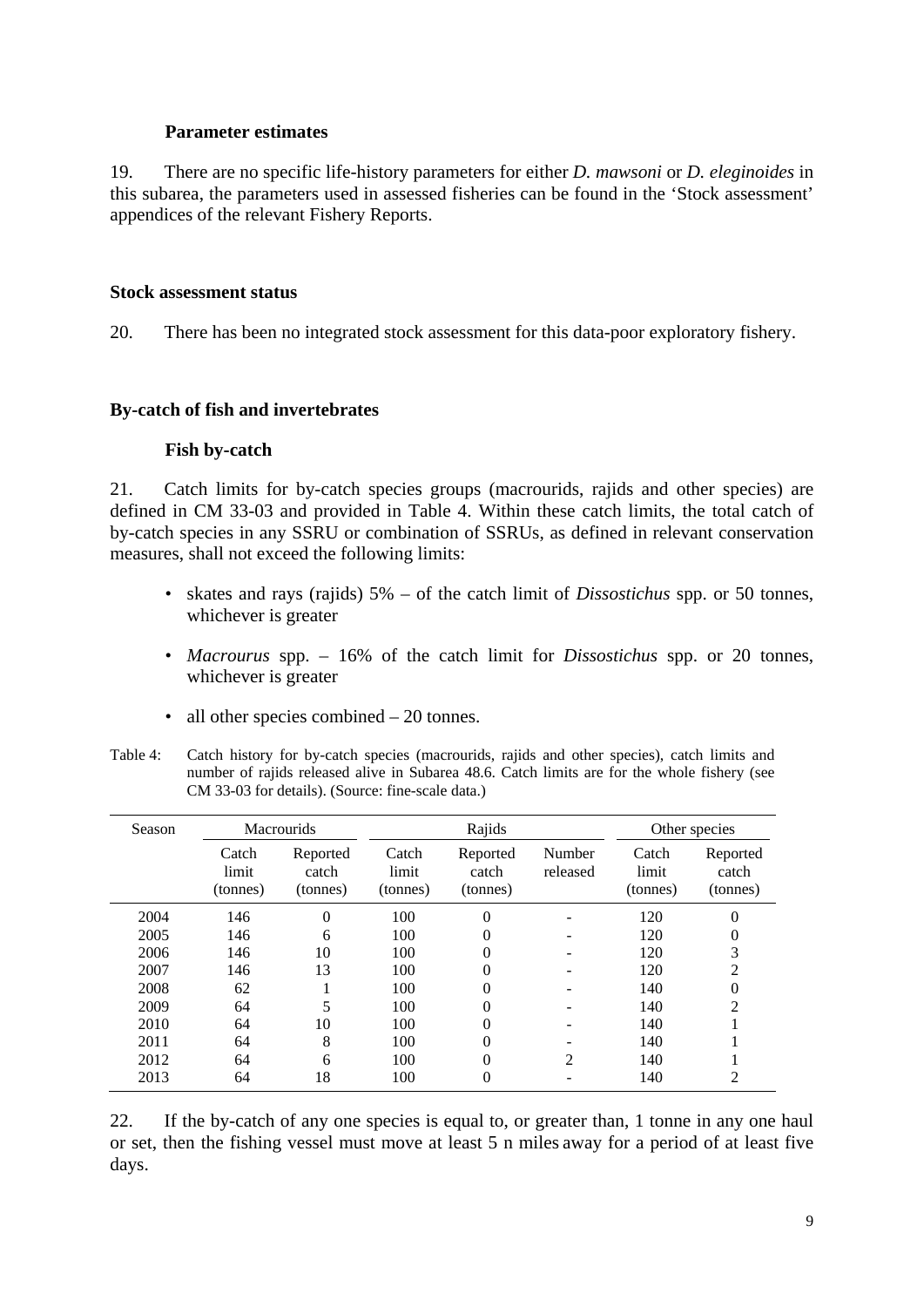# **Parameter estimates**

19. There are no specific life-history parameters for either *D. mawsoni* or *D. eleginoides* in this subarea, the parameters used in assessed fisheries can be found in the 'Stock assessment' appendices of the relevant Fishery Reports.

# **Stock assessment status**

20. There has been no integrated stock assessment for this data-poor exploratory fishery.

# **By-catch of fish and invertebrates**

# **Fish by-catch**

21. Catch limits for by-catch species groups (macrourids, rajids and other species) are defined in CM 33-03 and provided in Table 4. Within these catch limits, the total catch of by-catch species in any SSRU or combination of SSRUs, as defined in relevant conservation measures, shall not exceed the following limits:

- skates and rays (rajids) 5% of the catch limit of *Dissostichus* spp. or 50 tonnes, whichever is greater
- *Macrourus* spp. 16% of the catch limit for *Dissostichus* spp. or 20 tonnes, whichever is greater
- all other species combined 20 tonnes.
- Table 4: Catch history for by-catch species (macrourids, rajids and other species), catch limits and number of rajids released alive in Subarea 48.6. Catch limits are for the whole fishery (see CM 33-03 for details). (Source: fine-scale data.)

| Season |                            | <b>Macrourids</b>             |                            | Rajids                        |                    |                            | Other species                 |
|--------|----------------------------|-------------------------------|----------------------------|-------------------------------|--------------------|----------------------------|-------------------------------|
|        | Catch<br>limit<br>(tonnes) | Reported<br>catch<br>(tonnes) | Catch<br>limit<br>(tonnes) | Reported<br>catch<br>(tonnes) | Number<br>released | Catch<br>limit<br>(tonnes) | Reported<br>catch<br>(tonnes) |
| 2004   | 146                        | $\theta$                      | 100                        | 0                             |                    | 120                        | 0                             |
| 2005   | 146                        | 6                             | 100                        | 0                             |                    | 120                        | 0                             |
| 2006   | 146                        | 10                            | 100                        | 0                             |                    | 120                        | 3                             |
| 2007   | 146                        | 13                            | 100                        | 0                             |                    | 120                        | 2                             |
| 2008   | 62                         |                               | 100                        | 0                             |                    | 140                        | 0                             |
| 2009   | 64                         | 5                             | 100                        | 0                             |                    | 140                        | $\overline{c}$                |
| 2010   | 64                         | 10                            | 100                        | 0                             |                    | 140                        |                               |
| 2011   | 64                         | 8                             | 100                        | 0                             |                    | 140                        |                               |
| 2012   | 64                         | 6                             | 100                        | 0                             | $\mathfrak{D}$     | 140                        |                               |
| 2013   | 64                         | 18                            | 100                        | 0                             |                    | 140                        | 2                             |

22. If the by-catch of any one species is equal to, or greater than, 1 tonne in any one haul or set, then the fishing vessel must move at least 5 n miles away for a period of at least five days.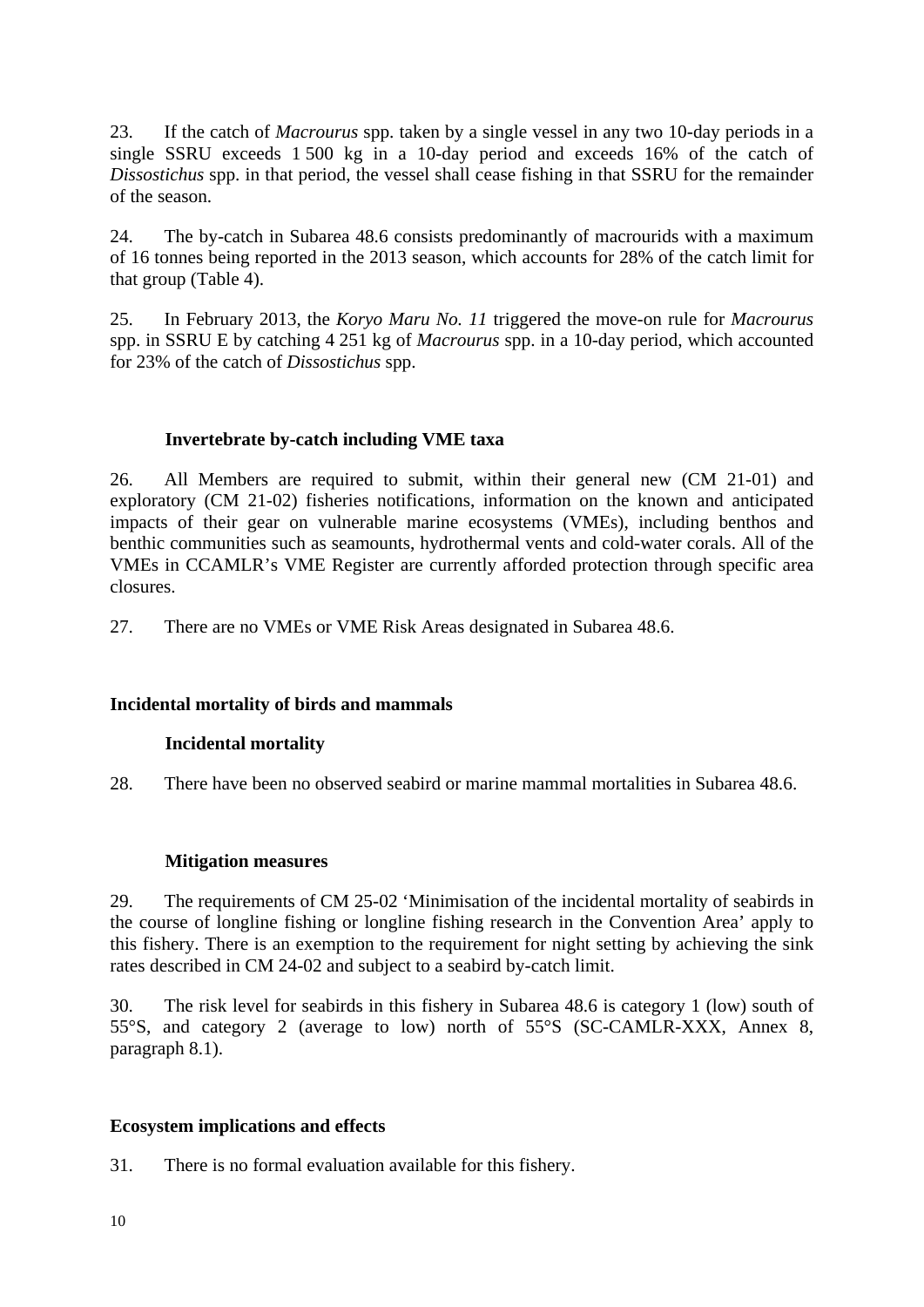23. If the catch of *Macrourus* spp. taken by a single vessel in any two 10-day periods in a single SSRU exceeds 1 500 kg in a 10-day period and exceeds 16% of the catch of *Dissostichus* spp. in that period, the vessel shall cease fishing in that SSRU for the remainder of the season.

24. The by-catch in Subarea 48.6 consists predominantly of macrourids with a maximum of 16 tonnes being reported in the 2013 season, which accounts for 28% of the catch limit for that group (Table 4).

25. In February 2013, the *Koryo Maru No. 11* triggered the move-on rule for *Macrourus* spp. in SSRU E by catching 4 251 kg of *Macrourus* spp. in a 10-day period, which accounted for 23% of the catch of *Dissostichus* spp.

# **Invertebrate by-catch including VME taxa**

26. All Members are required to submit, within their general new (CM 21-01) and exploratory (CM 21-02) fisheries notifications, information on the known and anticipated impacts of their gear on vulnerable marine ecosystems (VMEs), including benthos and benthic communities such as seamounts, hydrothermal vents and cold-water corals. All of the VMEs in CCAMLR's VME Register are currently afforded protection through specific area closures.

27. There are no VMEs or VME Risk Areas designated in Subarea 48.6.

# **Incidental mortality of birds and mammals**

# **Incidental mortality**

28. There have been no observed seabird or marine mammal mortalities in Subarea 48.6.

# **Mitigation measures**

29. The requirements of CM 25-02 'Minimisation of the incidental mortality of seabirds in the course of longline fishing or longline fishing research in the Convention Area' apply to this fishery. There is an exemption to the requirement for night setting by achieving the sink rates described in CM 24-02 and subject to a seabird by-catch limit.

30. The risk level for seabirds in this fishery in Subarea 48.6 is category 1 (low) south of 55°S, and category 2 (average to low) north of 55°S (SC-CAMLR-XXX, Annex 8, paragraph 8.1).

# **Ecosystem implications and effects**

31. There is no formal evaluation available for this fishery.